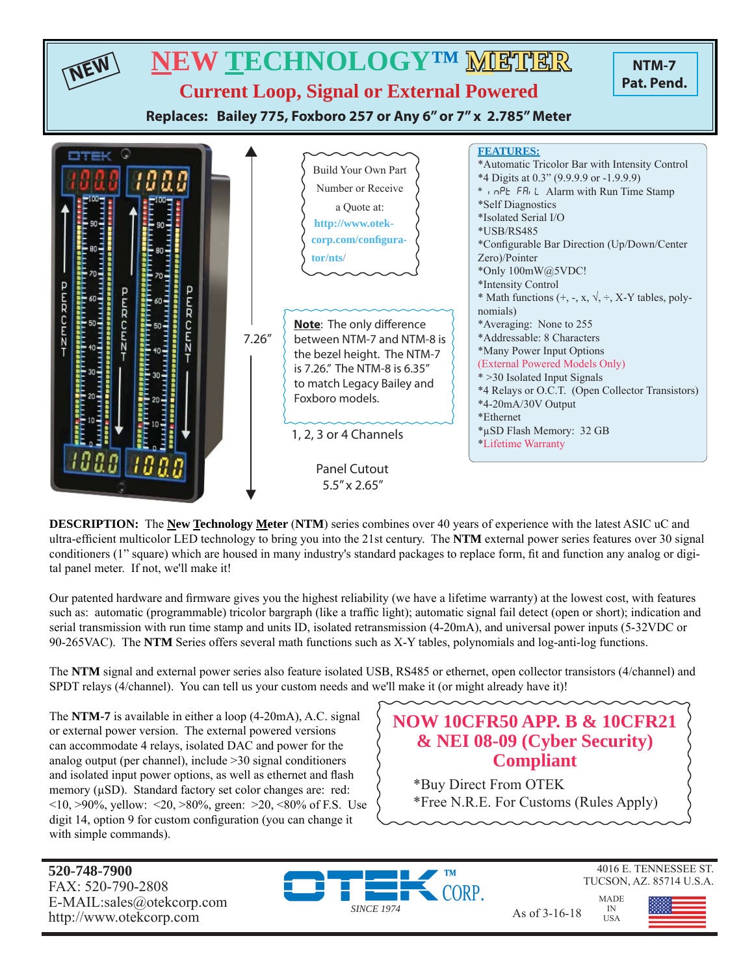

**DESCRIPTION:** The **New Technology Meter** (**NTM**) series combines over 40 years of experience with the latest ASIC uC and ultra-efficient multicolor LED technology to bring you into the 21st century. The **NTM** external power series features over 30 signal conditioners (1" square) which are housed in many industry's standard packages to replace form, fi t and function any analog or digital panel meter. If not, we'll make it!

Our patented hardware and firmware gives you the highest reliability (we have a lifetime warranty) at the lowest cost, with features such as: automatic (programmable) tricolor bargraph (like a traffic light); automatic signal fail detect (open or short); indication and serial transmission with run time stamp and units ID, isolated retransmission (4-20mA), and universal power inputs (5-32VDC or 90-265VAC). The **NTM** Series offers several math functions such as X-Y tables, polynomials and log-anti-log functions.

The **NTM** signal and external power series also feature isolated USB, RS485 or ethernet, open collector transistors (4/channel) and SPDT relays (4/channel). You can tell us your custom needs and we'll make it (or might already have it)!

The **NTM-7** is available in either a loop (4-20mA), A.C. signal or external power version. The external powered versions can accommodate 4 relays, isolated DAC and power for the analog output (per channel), include >30 signal conditioners and isolated input power options, as well as ethernet and flash memory (μSD). Standard factory set color changes are: red:  $\langle 10, \rangle 90\%$ , yellow:  $\langle 20, \rangle 80\%$ , green:  $\langle 20, \rangle 80\%$  of F.S. Use digit 14, option 9 for custom configuration (you can change it with simple commands).

# **NOW 10CFR50 APP. B & 10CFR21 & NEI 08-09 (Cyber Security) Compliant**

\*Buy Direct From OTEK \*Free N.R.E. For Customs (Rules Apply)

**520-748-7900** FAX: 520-790-2808 E-MAIL:sales@otekcorp.com





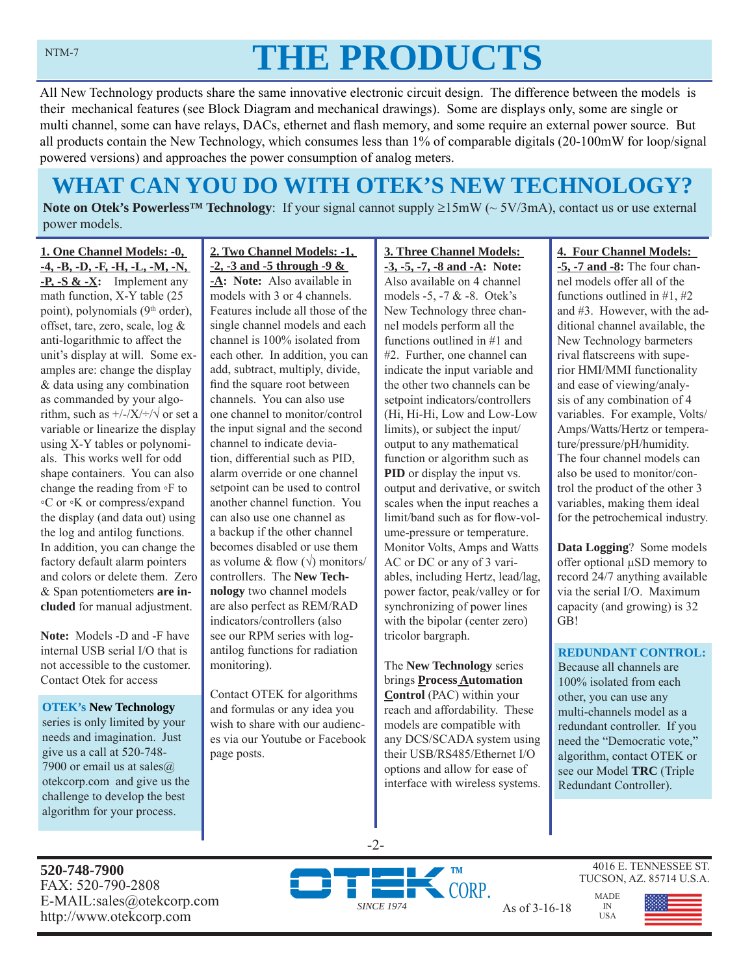# **THE PRODUCTS**

All New Technology products share the same innovative electronic circuit design. The difference between the models is their mechanical features (see Block Diagram and mechanical drawings). Some are displays only, some are single or multi channel, some can have relays, DACs, ethernet and flash memory, and some require an external power source. But all products contain the New Technology, which consumes less than 1% of comparable digitals (20-100mW for loop/signal powered versions) and approaches the power consumption of analog meters.

# **WHAT CAN YOU DO WITH OTEK'S NEW TECHNOLOGY?**

**Note on Otek's Powerless<sup>TM</sup> Technology**: If your signal cannot supply  $\geq 15 \text{mW}$  ( $\sim 5V/3 \text{mA}$ ), contact us or use external power models.

**1. One Channel Models: -0, -4, -B, -D, -F, -H, -L, -M, -N, -P, -S & -X:** Implement any math function, X-Y table (25 point), polynomials (9<sup>th</sup> order), offset, tare, zero, scale, log & anti-logarithmic to affect the unit's display at will. Some examples are: change the display & data using any combination as commanded by your algorithm, such as  $\frac{+}{-}\times\frac{+}{\sqrt{}}$  or set a variable or linearize the display using X-Y tables or polynomials. This works well for odd shape containers. You can also change the reading from ◦F to ◦C or ◦K or compress/expand the display (and data out) using the log and antilog functions. In addition, you can change the factory default alarm pointers and colors or delete them. Zero & Span potentiometers **are included** for manual adjustment.

**Note:** Models -D and -F have internal USB serial I/O that is not accessible to the customer. Contact Otek for access

**OTEK's New Technology**  series is only limited by your needs and imagination. Just give us a call at 520-748- 7900 or email us at sales $@$ . otekcorp.com and give us the challenge to develop the best algorithm for your process.

**2. Two Channel Models: -1, -2, -3 and -5 through -9 &** 

**-A: Note:** Also available in models with 3 or 4 channels. Features include all those of the single channel models and each channel is 100% isolated from each other. In addition, you can add, subtract, multiply, divide, find the square root between channels. You can also use one channel to monitor/control the input signal and the second channel to indicate deviation, differential such as PID, alarm override or one channel setpoint can be used to control another channel function. You can also use one channel as a backup if the other channel becomes disabled or use them as volume & flow  $(\sqrt{})$  monitors/ controllers. The **New Technology** two channel models are also perfect as REM/RAD indicators/controllers (also see our RPM series with logantilog functions for radiation monitoring).

Contact OTEK for algorithms and formulas or any idea you wish to share with our audiences via our Youtube or Facebook page posts.

**3. Three Channel Models: -3, -5, -7, -8 and -A: Note:**  Also available on 4 channel models -5, -7 & -8. Otek's New Technology three channel models perform all the functions outlined in #1 and #2. Further, one channel can indicate the input variable and the other two channels can be setpoint indicators/controllers (Hi, Hi-Hi, Low and Low-Low limits), or subject the input/ output to any mathematical function or algorithm such as **PID** or display the input vs. output and derivative, or switch scales when the input reaches a limit/band such as for flow-volume-pressure or temperature. Monitor Volts, Amps and Watts AC or DC or any of 3 variables, including Hertz, lead/lag, power factor, peak/valley or for synchronizing of power lines with the bipolar (center zero) tricolor bargraph.

The **New Technology** series brings **Process Automation Control** (PAC) within your reach and affordability. These models are compatible with any DCS/SCADA system using their USB/RS485/Ethernet I/O options and allow for ease of interface with wireless systems.

### **4. Four Channel Models:**

**-5, -7 and -8:** The four channel models offer all of the functions outlined in #1, #2 and #3. However, with the additional channel available, the New Technology barmeters rival flatscreens with superior HMI/MMI functionality and ease of viewing/analysis of any combination of 4 variables. For example, Volts/ Amps/Watts/Hertz or temperature/pressure/pH/humidity. The four channel models can also be used to monitor/control the product of the other 3 variables, making them ideal for the petrochemical industry.

**Data Logging**? Some models offer optional μSD memory to record 24/7 anything available via the serial I/O. Maximum capacity (and growing) is 32 GB!

## **REDUNDANT CONTROL:**

Because all channels are 100% isolated from each other, you can use any multi-channels model as a redundant controller. If you need the "Democratic vote," algorithm, contact OTEK or see our Model **TRC** (Triple Redundant Controller).

**520-748-7900** FAX: 520-790-2808 E-MAIL:sales@otekcorp.com http://www.otekcorp.com and as of 3-16-18<br>http://www.otekcorp.com



-2-

4016 E. TENNESSEE ST. TUCSON, AZ. 85714 U.S.A.

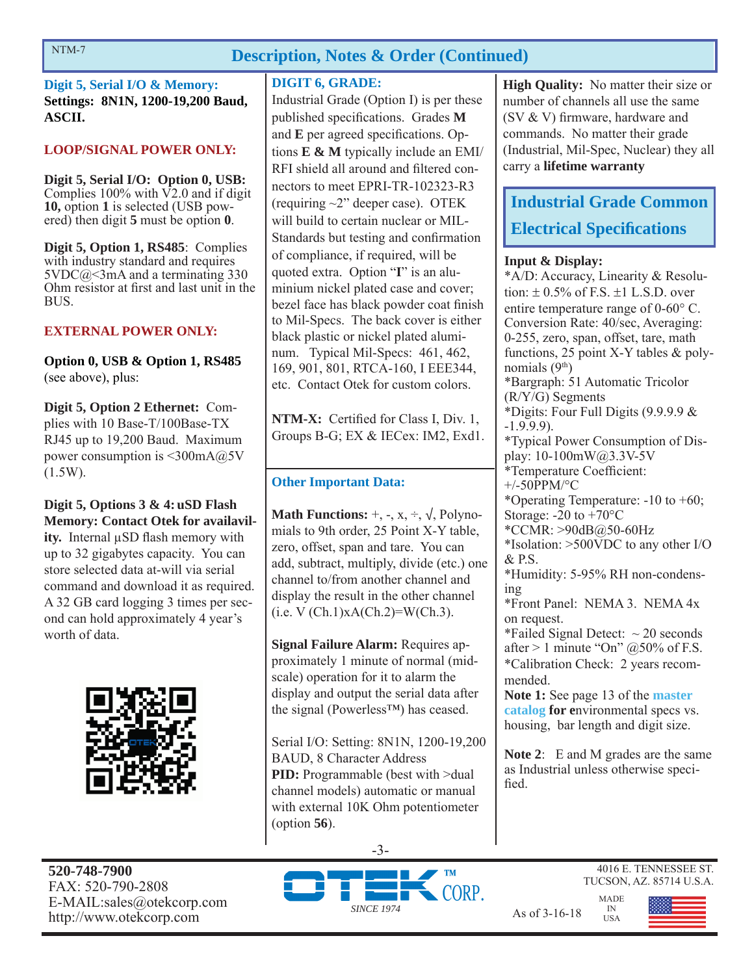# **Description, Notes & Order (Continued)**

**Digit 5, Serial I/O & Memory: Settings: 8N1N, 1200-19,200 Baud, ASCII.**

# **LOOP/SIGNAL POWER ONLY:**

**Digit 5, Serial I/O: Option 0, USB:**  Complies  $100\%$  with  $\nabla$ 2.0 and if digit **10,** option **1** is selected (USB powered) then digit **5** must be option **0**.

**Digit 5, Option 1, RS485**: Complies with industry standard and requires  $5VDC@<3mA$  and a terminating 330 Ohm resistor at first and last unit in the BUS.

# **EXTERNAL POWER ONLY:**

**Option 0, USB & Option 1, RS485**  (see above), plus:

**Digit 5, Option 2 Ethernet:** Complies with 10 Base-T/100Base-TX RJ45 up to 19,200 Baud. Maximum power consumption is <300mA@5V (1.5W).

**Digit 5, Options 3 & 4: uSD Flash Memory: Contact Otek for availavility.** Internal μSD flash memory with up to 32 gigabytes capacity. You can store selected data at-will via serial command and download it as required. A 32 GB card logging 3 times per second can hold approximately 4 year's worth of data.



## **DIGIT 6, GRADE:**

Industrial Grade (Option I) is per these published specifications. Grades M and **E** per agreed specifications. Options **E & M** typically include an EMI/ RFI shield all around and filtered connectors to meet EPRI-TR-102323-R3 (requiring ~2" deeper case). OTEK will build to certain nuclear or MIL-Standards but testing and confirmation of compliance, if required, will be quoted extra. Option "**I**" is an aluminium nickel plated case and cover; bezel face has black powder coat finish to Mil-Specs. The back cover is either black plastic or nickel plated aluminum. Typical Mil-Specs: 461, 462, 169, 901, 801, RTCA-160, I EEE344, etc. Contact Otek for custom colors.

**NTM-X:** Certified for Class I, Div. 1, Groups B-G; EX & IECex: IM2, Exd1.

# **Other Important Data:**

**Math Functions:**  $+$ ,  $-$ ,  $x$ ,  $\div$ ,  $\sqrt{}$ , Polynomials to 9th order, 25 Point X-Y table, zero, offset, span and tare. You can add, subtract, multiply, divide (etc.) one channel to/from another channel and display the result in the other channel  $(i.e. V (Ch.1)xA(Ch.2)=W(Ch.3).$ 

**Signal Failure Alarm:** Requires approximately 1 minute of normal (midscale) operation for it to alarm the display and output the serial data after the signal (Powerless™) has ceased.

Serial I/O: Setting: 8N1N, 1200-19,200 BAUD, 8 Character Address **PID:** Programmable (best with  $>$ dual channel models) automatic or manual with external 10K Ohm potentiometer (option **56**).

**High Quality:** No matter their size or number of channels all use the same (SV  $&$  V) firmware, hardware and commands. No matter their grade (Industrial, Mil-Spec, Nuclear) they all carry a **lifetime warranty**

# **Industrial Grade Common Electrical Specifications**

# **Input & Display:**

\*A/D: Accuracy, Linearity & Resolution:  $\pm$  0.5% of F.S.  $\pm$ 1 L.S.D. over entire temperature range of  $0\n-60^{\circ}$  C. Conversion Rate: 40/sec, Averaging: 0-255, zero, span, offset, tare, math functions, 25 point X-Y tables & polynomials  $(9<sup>th</sup>)$ \*Bargraph: 51 Automatic Tricolor (R/Y/G) Segments \*Digits: Four Full Digits (9.9.9.9 & -1.9.9.9). \*Typical Power Consumption of Display: 10-100mW@3.3V-5V \*Temperature Coefficient: +/-50PPM/°C \*Operating Temperature: -10 to +60; Storage:  $-20$  to  $+70^{\circ}$ C \*CCMR: >90dB@50-60Hz \*Isolation: >500VDC to any other I/O & P.S. \*Humidity: 5-95% RH non-condensing \*Front Panel: NEMA 3. NEMA 4x on request. \*Failed Signal Detect:  $\sim$  20 seconds after  $> 1$  minute "On" @50% of F.S. \*Calibration Check: 2 years recommended. **Note 1:** See page 13 of the **master catalog for e**nvironmental specs vs. housing, bar length and digit size.

**Note 2**: E and M grades are the same as Industrial unless otherwise specified.

> MADE IN USA

**520-748-7900** FAX: 520-790-2808 E-MAIL:sales@otekcorp.com http://www.otekcorp.com As of 3-16-18





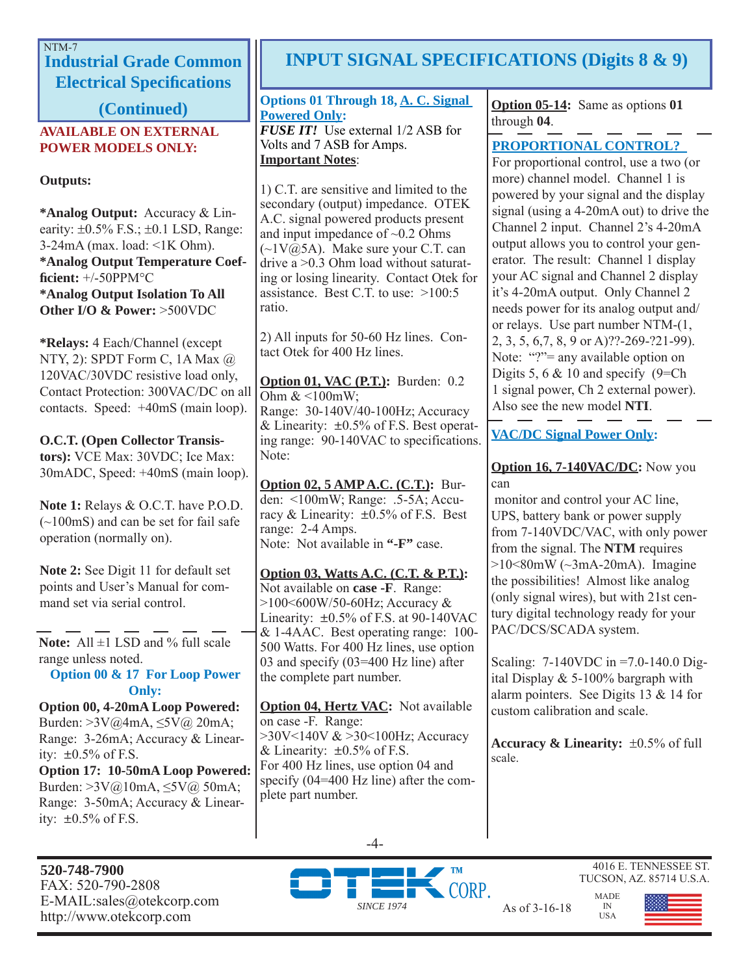# NTM-7

**Industrial Grade Common Electrical Specifications** 

**(Continued)**

# **AVAILABLE ON EXTERNAL POWER MODELS ONLY:**

# **Outputs:**

**\*Analog Output:** Accuracy & Linearity:  $\pm 0.5\%$  F.S.;  $\pm 0.1$  LSD, Range:  $3-24mA$  (max. load:  $\leq 1K$  Ohm). **\*Analog Output Temperature Coeffi cient:** +/-50PPM°C **\*Analog Output Isolation To All Other I/O & Power:** >500VDC

**\*Relays:** 4 Each/Channel (except NTY, 2): SPDT Form C, 1A Max @ 120VAC/30VDC resistive load only, Contact Protection: 300VAC/DC on all contacts. Speed: +40mS (main loop).

**O.C.T. (Open Collector Transistors):** VCE Max: 30VDC; Ice Max: 30mADC, Speed: +40mS (main loop).

**Note 1:** Relays & O.C.T. have P.O.D. (~100mS) and can be set for fail safe operation (normally on).

**Note 2:** See Digit 11 for default set points and User's Manual for command set via serial control.

Note: All  $\pm$ 1 LSD and % full scale range unless noted.

**Option 00 & 17 For Loop Power Only:**

**Option 00, 4-20mA Loop Powered:**  Burden: >3V@4mA, ≤5V@ 20mA; Range: 3-26mA; Accuracy & Linearity:  $\pm 0.5\%$  of F.S. **Option 17: 10-50mA Loop Powered:** 

Burden: >3V@10mA, ≤5V@ 50mA; Range: 3-50mA; Accuracy & Linearity:  $\pm 0.5\%$  of F.S.

### **520-748-7900** FAX: 520-790-2808 E-MAIL:sales@otekcorp.com http://www.otekcorp.com and as of 3-16-18<br>http://www.otekcorp.com

# **INPUT SIGNAL SPECIFICATIONS (Digits 8 & 9)**

#### **Options 01 Through 18, A. C. Signal Powered Only:** *FUSE IT!*Use external 1/2 ASB for Volts and 7 ASB for Amps. **Important Notes**:

1) C.T. are sensitive and limited to the secondary (output) impedance. OTEK A.C. signal powered products present and input impedance of ~0.2 Ohms  $(\sim 1 \text{V}(\hat{\omega})$ . Make sure your C.T. can drive a >0.3 Ohm load without saturating or losing linearity. Contact Otek for assistance. Best C.T. to use:  $>100:5$ ratio.

2) All inputs for 50-60 Hz lines. Contact Otek for 400 Hz lines.

**Option 01, VAC (P.T.):** Burden: 0.2 Ohm  $<100$ mW; Range: 30-140V/40-100Hz; Accuracy & Linearity:  $\pm 0.5\%$  of F.S. Best operating range: 90-140VAC to specifications. Note:

**Option 02, 5 AMP A.C. (C.T.):** Burden: <100mW; Range: .5-5A; Accuracy & Linearity:  $\pm 0.5\%$  of F.S. Best range: 2-4 Amps. Note: Not available in **"-F"** case.

**Option 03, Watts A.C. (C.T. & P.T.):** Not available on **case -F**. Range: >100<600W/50-60Hz; Accuracy & Linearity:  $\pm 0.5\%$  of F.S. at 90-140VAC & 1-4AAC. Best operating range: 100- 500 Watts. For 400 Hz lines, use option 03 and specify (03=400 Hz line) after the complete part number.

**Option 04, Hertz VAC:** Not available on case -F. Range: >30V<140V & >30<100Hz; Accuracy & Linearity:  $\pm 0.5\%$  of F.S. For 400 Hz lines, use option 04 and specify (04=400 Hz line) after the complete part number.

**Option 05-14:** Same as options **01** through **04**.

# **PROPORTIONAL CONTROL?**

For proportional control, use a two (or more) channel model. Channel 1 is powered by your signal and the display signal (using a 4-20mA out) to drive the Channel 2 input. Channel 2's 4-20mA output allows you to control your generator. The result: Channel 1 display your AC signal and Channel 2 display it's 4-20mA output. Only Channel 2 needs power for its analog output and/ or relays. Use part number NTM-(1, 2, 3, 5, 6,7, 8, 9 or A)??-269-?21-99). Note: "?"= any available option on Digits 5, 6  $& 10$  and specify (9=Ch) 1 signal power, Ch 2 external power). Also see the new model **NTI**.

**VAC/DC Signal Power Only:**

# **Option 16, 7-140VAC/DC:** Now you can

 monitor and control your AC line, UPS, battery bank or power supply from 7-140VDC/VAC, with only power from the signal. The **NTM** requires  $>10<80$ mW ( $\sim$ 3mA-20mA). Imagine the possibilities! Almost like analog (only signal wires), but with 21st century digital technology ready for your PAC/DCS/SCADA system.

Scaling: 7-140VDC in =7.0-140.0 Digital Display & 5-100% bargraph with alarm pointers. See Digits 13 & 14 for custom calibration and scale.

**Accuracy & Linearity:**  $\pm 0.5\%$  of full scale.

> IN USA





4016 E. TENNESSEE ST. TUCSON, AZ. 85714 U.S.A. MADE

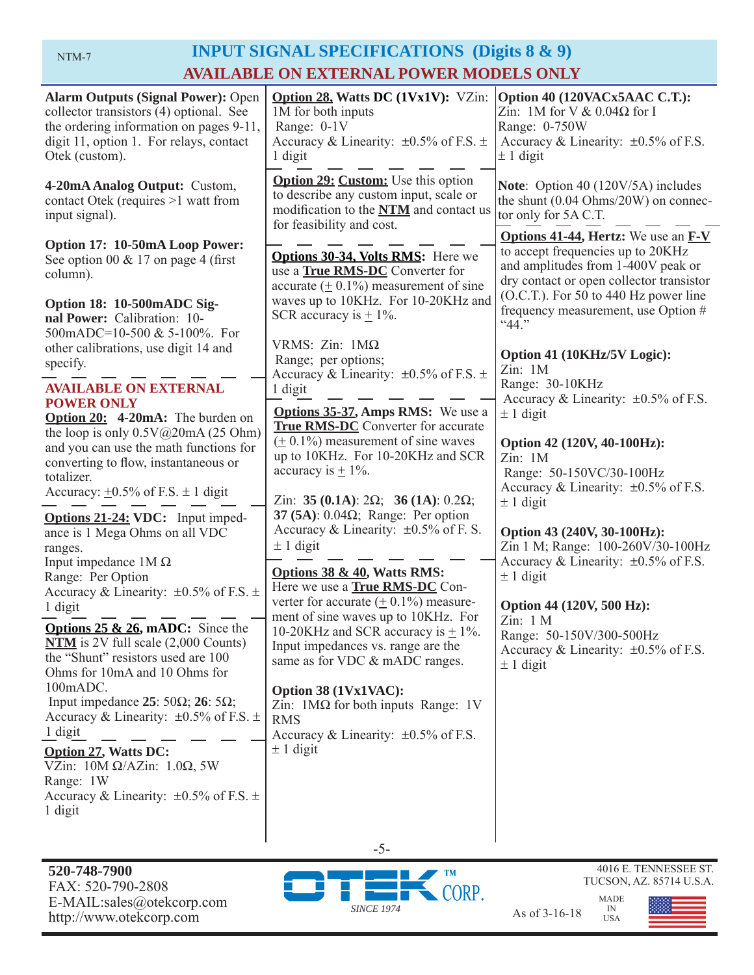# NTM-7 **INPUT SIGNAL SPECIFICATIONS** (Digits 8 & 9) **AVAILABLE ON EXTERNAL POWER MODELS ONLY**

| <b>Alarm Outputs (Signal Power): Open</b><br>collector transistors (4) optional. See<br>the ordering information on pages 9-11,<br>digit 11, option 1. For relays, contact<br>Otek (custom).                                                                                              | <b>Option 28, Watts DC (1Vx1V):</b> VZin:<br>1M for both inputs<br>Range: 0-1V<br>Accuracy & Linearity: $\pm 0.5\%$ of F.S. $\pm$<br>1 digit                                                                                                                                                 | Option 40 (120VACx5AAC C.T.):<br>Zin: 1M for V $& 0.04\Omega$ for I<br>Range: 0-750W<br>Accuracy & Linearity: $\pm 0.5\%$ of F.S.<br>$\pm$ 1 digit                                                                                                          |
|-------------------------------------------------------------------------------------------------------------------------------------------------------------------------------------------------------------------------------------------------------------------------------------------|----------------------------------------------------------------------------------------------------------------------------------------------------------------------------------------------------------------------------------------------------------------------------------------------|-------------------------------------------------------------------------------------------------------------------------------------------------------------------------------------------------------------------------------------------------------------|
| 4-20mA Analog Output: Custom,<br>contact Otek (requires >1 watt from<br>input signal).                                                                                                                                                                                                    | <b>Option 29: Custom:</b> Use this option<br>to describe any custom input, scale or<br>modification to the NTM and contact us<br>for feasibility and cost.                                                                                                                                   | Note: Option 40 (120V/5A) includes<br>the shunt (0.04 Ohms/20W) on connec-<br>tor only for 5A C.T.                                                                                                                                                          |
| Option 17: 10-50mA Loop Power:<br>See option 00 $& 17$ on page 4 (first)<br>column).<br>Option 18: 10-500mADC Sig-<br>nal Power: Calibration: 10-                                                                                                                                         | <b>Options 30-34, Volts RMS:</b> Here we<br>use a <b>True RMS-DC</b> Converter for<br>accurate $(± 0.1\%)$ measurement of sine<br>waves up to 10KHz. For 10-20KHz and<br>SCR accuracy is $\pm$ 1%.                                                                                           | <b>Options 41-44, Hertz:</b> We use an <b>F-V</b><br>to accept frequencies up to 20KHz<br>and amplitudes from 1-400V peak or<br>dry contact or open collector transistor<br>$(O.C.T.)$ . For 50 to 440 Hz power line<br>frequency measurement, use Option # |
| 500mADC=10-500 & 5-100%. For<br>other calibrations, use digit 14 and<br>specify.<br><b>AVAILABLE ON EXTERNAL</b>                                                                                                                                                                          | VRMS: Zin: $1M\Omega$<br>Range; per options;<br>Accuracy & Linearity: $\pm 0.5\%$ of F.S. $\pm$<br>1 digit                                                                                                                                                                                   | ``44."<br>Option 41 (10KHz/5V Logic):<br>Zin: 1M<br>Range: 30-10KHz                                                                                                                                                                                         |
| <b>POWER ONLY</b><br><b>Option 20:</b> 4-20mA: The burden on<br>the loop is only $0.5V@20mA(25 Ohm)$<br>and you can use the math functions for<br>converting to flow, instantaneous or<br>totalizer.<br>Accuracy: $\pm 0.5\%$ of F.S. $\pm$ 1 digit                                       | <b>Options 35-37, Amps RMS:</b> We use a<br><b>True RMS-DC</b> Converter for accurate<br>$(± 0.1%)$ measurement of sine waves<br>up to 10KHz. For 10-20KHz and SCR<br>accuracy is $\pm$ 1%.<br>Zin: 35 (0.1A): $2\Omega$ ; 36 (1A): 0.2 $\Omega$ ;                                           | Accuracy & Linearity: $\pm 0.5\%$ of F.S.<br>$\pm$ 1 digit<br>Option 42 (120V, 40-100Hz):<br>Zin: 1M<br>Range: 50-150VC/30-100Hz<br>Accuracy & Linearity: $\pm 0.5\%$ of F.S.<br>$± 1$ digit                                                                |
| <b>Options 21-24: VDC:</b> Input imped-<br>ance is 1 Mega Ohms on all VDC<br>ranges.<br>Input impedance $1M\Omega$<br>Range: Per Option<br>Accuracy & Linearity: $\pm 0.5\%$ of F.S. $\pm$<br>1 digit                                                                                     | 37 (5A): $0.04\Omega$ ; Range: Per option<br>Accuracy & Linearity: $\pm 0.5\%$ of F. S.<br>$\pm$ 1 digit<br>Options 38 & 40, Watts RMS:<br>Here we use a <b>True RMS-DC</b> Con-<br>verter for accurate $(± 0.1%)$ measure-                                                                  | Option 43 (240V, 30-100Hz):<br>Zin 1 M; Range: 100-260V/30-100Hz<br>Accuracy & Linearity: $\pm 0.5\%$ of F.S.<br>$\pm$ 1 digit<br>Option 44 (120V, 500 Hz):                                                                                                 |
| <b>Options 25 &amp; 26, mADC:</b> Since the<br>$NTM$ is 2V full scale $(2,000$ Counts)<br>the "Shunt" resistors used are 100<br>Ohms for 10mA and 10 Ohms for<br>100mADC.<br>Input impedance $25:50\Omega$ ; $26:5\Omega$ ;<br>Accuracy & Linearity: $\pm 0.5\%$ of F.S. $\pm$<br>1 digit | ment of sine waves up to 10KHz. For<br>10-20KHz and SCR accuracy is $\pm$ 1%.<br>Input impedances vs. range are the<br>same as for VDC & mADC ranges.<br>Option 38 (1Vx1VAC):<br>Zin: $1\text{M}\Omega$ for both inputs Range: 1V<br><b>RMS</b><br>Accuracy & Linearity: $\pm 0.5\%$ of F.S. | Zin: 1 M<br>Range: 50-150V/300-500Hz<br>Accuracy & Linearity: $\pm 0.5\%$ of F.S.<br>$\pm$ 1 digit                                                                                                                                                          |
| <b>Option 27, Watts DC:</b><br>VZin: $10M \Omega/AZ$ in: $1.0\Omega$ , 5W<br>Range: 1W<br>Accuracy & Linearity: $\pm 0.5\%$ of F.S. $\pm$<br>1 digit                                                                                                                                      | $\pm$ 1 digit<br>$-5-$                                                                                                                                                                                                                                                                       |                                                                                                                                                                                                                                                             |





4016 E. TENNESSEE ST.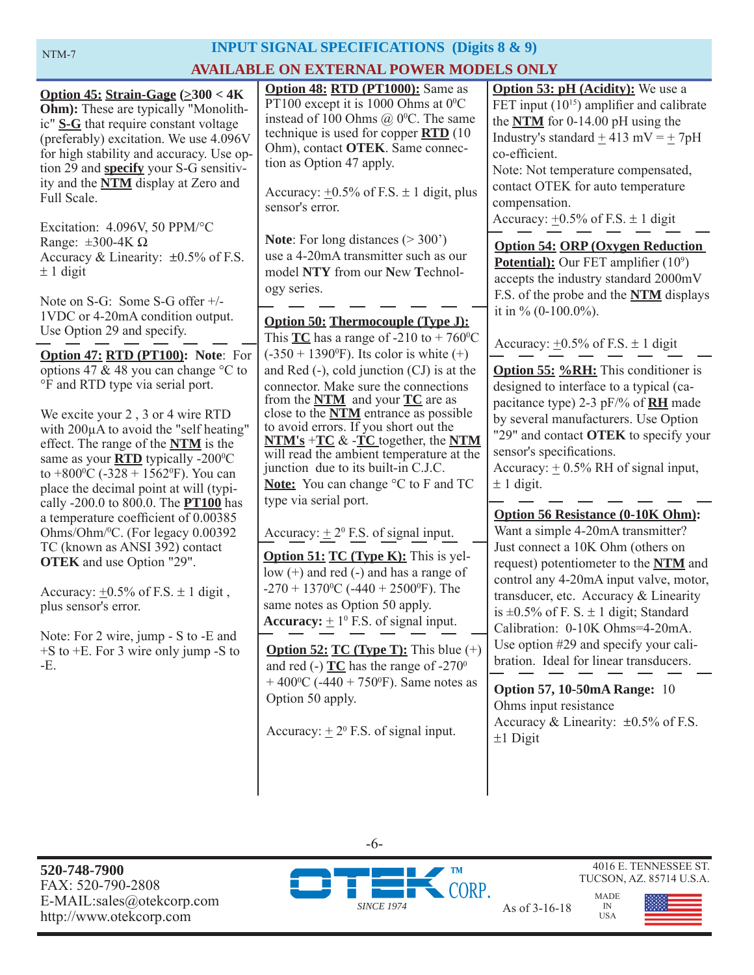# **INPUT SIGNAL SPECIFICATIONS (Digits 8 & 9) AVAILABLE ON EXTERNAL POWER MODELS ONLY**

**Option 50: Thermocouple (Type J):** This  $TC$  has a range of -210 to + 760<sup>o</sup>C  $(-350 + 1390^{\circ}F)$ . Its color is white  $(+)$ and Red (-), cold junction (CJ) is at the connector. Make sure the connections from the **NTM** and your **TC** are as close to the **NTM** entrance as possible to avoid errors. If you short out the **NTM's** +**TC** & -**TC** together, the **NTM** will read the ambient temperature at the junction due to its built-in C.J.C. **Note:** You can change  $\degree$ C to F and TC type via serial port. Accuracy:  $\pm 2^0$  F.S. of signal input. **Option 48: RTD (PT1000):** Same as PT100 except it is 1000 Ohms at  $0^{\circ}$ C instead of 100 Ohms  $@$  0<sup>o</sup>C. The same technique is used for copper **RTD** (10 Ohm), contact **OTEK**. Same connection as Option 47 apply. Accuracy:  $+0.5\%$  of F.S.  $\pm$  1 digit, plus sensor's error. Note: For long distances ( $>$  300<sup>'</sup>) use a 4-20mA transmitter such as our model **NTY** from our **N**ew **T**echnology series. **Option 51: TC (Type K):** This is yellow (+) and red (-) and has a range of  $-270 + 1370$ <sup>o</sup>C ( $-440 + 2500$ <sup>o</sup>F). The same notes as Option 50 apply. **Accuracy:**  $\pm 1^0$  F.S. of signal input. **Option 52: TC (Type T):** This blue (+) and red (-)  $TC$  has the range of  $-270^\circ$  $+$  400<sup>o</sup>C (-440 + 750<sup>o</sup>F). Same notes as Option 50 apply. Accuracy:  $\pm 2^0$  F.S. of signal input. **Option 55: %RH:** This conditioner is designed to interface to a typical (capacitance type) 2-3 pF/% of **RH** made by several manufacturers. Use Option "29" and contact **OTEK** to specify your sensor's specifications. Accuracy:  $\pm$  0.5% RH of signal input,  $\pm$  1 digit. **Option 54: ORP (Oxygen Reduction Potential):** Our FET amplifier (10<sup>9</sup>) accepts the industry standard 2000mV F.S. of the probe and the **NTM** displays it in  $\%$  (0-100.0%). Accuracy:  $\pm 0.5\%$  of F.S.  $\pm 1$  digit **Option 53: pH (Acidity):** We use a FET input  $(10^{15})$  amplifier and calibrate the **NTM** for 0-14.00 pH using the Industry's standard  $+413$  mV =  $+7pH$ co-efficient. Note: Not temperature compensated, contact OTEK for auto temperature compensation. Accuracy:  $+0.5\%$  of F.S.  $\pm$  1 digit **Option 56 Resistance (0-10K Ohm):**  Want a simple 4-20mA transmitter? Just connect a 10K Ohm (others on request) potentiometer to the **NTM** and control any 4-20mA input valve, motor, transducer, etc. Accuracy & Linearity is  $\pm 0.5\%$  of F. S.  $\pm 1$  digit; Standard Calibration: 0-10K Ohms=4-20mA. Use option #29 and specify your calibration. Ideal for linear transducers. **Option 47: RTD (PT100): Note**: For options 47 & 48 you can change °C to °F and RTD type via serial port. We excite your 2 , 3 or 4 wire RTD with 200μA to avoid the "self heating" effect. The range of the **NTM** is the same as your **RTD** typically -200<sup>o</sup>C to  $+800$ <sup>o</sup>C ( $-328 + 1562$ <sup>o</sup>F). You can place the decimal point at will (typically -200.0 to 800.0. The **PT100** has a temperature coefficient of 0.00385 Ohms/Ohm/0 C. (For legacy 0.00392 TC (known as ANSI 392) contact **OTEK** and use Option "29". Accuracy:  $\pm 0.5\%$  of F.S.  $\pm 1$  digit, plus sensor's error. Note: For 2 wire, jump - S to -E and +S to +E. For 3 wire only jump -S to -E. **Option 57, 10-50mA Range:** 10 Ohms input resistance Accuracy & Linearity:  $\pm 0.5\%$  of F.S. **Option 45: Strain-Gage (>300 < 4K Ohm**): These are typically "Monolithic" **S-G** that require constant voltage (preferably) excitation. We use 4.096V for high stability and accuracy. Use option 29 and **specify** your S-G sensitivity and the **NTM** display at Zero and Full Scale. Excitation: 4.096V, 50 PPM/°C Range:  $\pm 300 - 4K \Omega$ Accuracy & Linearity:  $\pm 0.5\%$  of F.S.  $\pm$  1 digit Note on S-G: Some S-G offer +/- 1VDC or 4-20mA condition output. Use Option 29 and specify.

 $\pm 1$  Digit

**520-748-7900** FAX: 520-790-2808 E-MAIL:sales@otekcorp.com



-6-

MADE USA



4016 E. TENNESSEE ST.

IN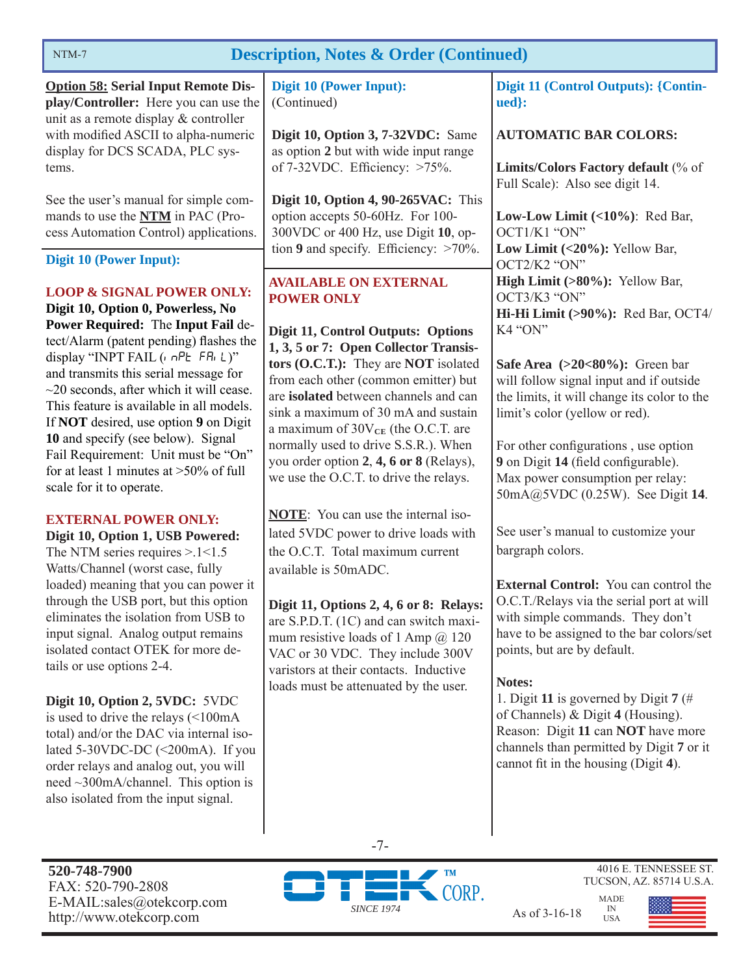

-7-



4016 E. TENNESSEE ST.

| NTM-7                                                                                                                                                                                                                                                                                                                                                                                                                                                                                                                                                                                                                                                                              | <b>Description, Notes &amp; Order (Continued)</b>                                                                                                                                                                                                                                                                                                                                                                                                                        |                                                                                                                                                                                                                                                                                                                                                                                                                                                                                          |
|------------------------------------------------------------------------------------------------------------------------------------------------------------------------------------------------------------------------------------------------------------------------------------------------------------------------------------------------------------------------------------------------------------------------------------------------------------------------------------------------------------------------------------------------------------------------------------------------------------------------------------------------------------------------------------|--------------------------------------------------------------------------------------------------------------------------------------------------------------------------------------------------------------------------------------------------------------------------------------------------------------------------------------------------------------------------------------------------------------------------------------------------------------------------|------------------------------------------------------------------------------------------------------------------------------------------------------------------------------------------------------------------------------------------------------------------------------------------------------------------------------------------------------------------------------------------------------------------------------------------------------------------------------------------|
| <b>Option 58: Serial Input Remote Dis-</b><br>play/Controller: Here you can use the<br>unit as a remote display & controller                                                                                                                                                                                                                                                                                                                                                                                                                                                                                                                                                       | Digit 10 (Power Input):<br>(Continued)                                                                                                                                                                                                                                                                                                                                                                                                                                   | <b>Digit 11 (Control Outputs): {Contin-</b><br>ued}:                                                                                                                                                                                                                                                                                                                                                                                                                                     |
| with modified ASCII to alpha-numeric<br>display for DCS SCADA, PLC sys-<br>tems.                                                                                                                                                                                                                                                                                                                                                                                                                                                                                                                                                                                                   | Digit 10, Option 3, 7-32VDC: Same<br>as option 2 but with wide input range<br>of $7-32$ VDC. Efficiency: $>75\%$ .                                                                                                                                                                                                                                                                                                                                                       | <b>AUTOMATIC BAR COLORS:</b><br>Limits/Colors Factory default (% of                                                                                                                                                                                                                                                                                                                                                                                                                      |
| See the user's manual for simple com-<br>mands to use the <b>NTM</b> in PAC (Pro-<br>cess Automation Control) applications.                                                                                                                                                                                                                                                                                                                                                                                                                                                                                                                                                        | Digit 10, Option 4, 90-265VAC: This<br>option accepts 50-60Hz. For 100-<br>300VDC or 400 Hz, use Digit 10, op-<br>tion 9 and specify. Efficiency: $>70\%$ .                                                                                                                                                                                                                                                                                                              | Full Scale): Also see digit 14.<br>Low-Low Limit $(\langle 10\% \rangle)$ : Red Bar,<br>OCT1/K1 "ON"<br>Low Limit (<20%): Yellow Bar,                                                                                                                                                                                                                                                                                                                                                    |
| Digit 10 (Power Input):<br><b>LOOP &amp; SIGNAL POWER ONLY:</b><br>Digit 10, Option 0, Powerless, No<br>Power Required: The Input Fail de-<br>tect/Alarm (patent pending) flashes the<br>display "INPT FAIL ( $n$ nPE FRi L)"<br>and transmits this serial message for<br>$\sim$ 20 seconds, after which it will cease.<br>This feature is available in all models.<br>If NOT desired, use option 9 on Digit<br>10 and specify (see below). Signal<br>Fail Requirement: Unit must be "On"<br>for at least 1 minutes at $>50\%$ of full<br>scale for it to operate.                                                                                                                 | <b>AVAILABLE ON EXTERNAL</b><br><b>POWER ONLY</b><br>Digit 11, Control Outputs: Options<br>1, 3, 5 or 7: Open Collector Transis-<br>tors (O.C.T.): They are NOT isolated<br>from each other (common emitter) but<br>are isolated between channels and can<br>sink a maximum of 30 mA and sustain<br>a maximum of $30V_{CE}$ (the O.C.T. are<br>normally used to drive S.S.R.). When<br>you order option 2, 4, 6 or 8 (Relays),<br>we use the O.C.T. to drive the relays. | OCT2/K2 "ON"<br>High Limit (>80%): Yellow Bar,<br>OCT3/K3 "ON"<br>Hi-Hi Limit (>90%): Red Bar, OCT4/<br>K4 "ON"<br>Safe Area $(>20<80\%)$ : Green bar<br>will follow signal input and if outside<br>the limits, it will change its color to the<br>limit's color (yellow or red).<br>For other configurations, use option<br>9 on Digit 14 (field configurable).<br>Max power consumption per relay:<br>50mA@5VDC (0.25W). See Digit 14.                                                 |
| <b>EXTERNAL POWER ONLY:</b><br>Digit 10, Option 1, USB Powered:<br>The NTM series requires $> 1 < 1.5$<br>Watts/Channel (worst case, fully<br>loaded) meaning that you can power it<br>through the USB port, but this option<br>eliminates the isolation from USB to<br>input signal. Analog output remains<br>isolated contact OTEK for more de-<br>tails or use options 2-4.<br>Digit 10, Option 2, 5VDC: 5VDC<br>is used to drive the relays $\leq 100 \text{mA}$<br>total) and/or the DAC via internal iso-<br>lated 5-30VDC-DC (<200mA). If you<br>order relays and analog out, you will<br>need $\sim$ 300mA/channel. This option is<br>also isolated from the input signal. | <b>NOTE:</b> You can use the internal iso-<br>lated 5VDC power to drive loads with<br>the O.C.T. Total maximum current<br>available is 50mADC.<br>Digit 11, Options 2, 4, 6 or 8: Relays:<br>are S.P.D.T. (1C) and can switch maxi-<br>mum resistive loads of 1 Amp $@$ 120<br>VAC or 30 VDC. They include 300V<br>varistors at their contacts. Inductive<br>loads must be attenuated by the user.                                                                       | See user's manual to customize your<br>bargraph colors.<br><b>External Control:</b> You can control the<br>O.C.T./Relays via the serial port at will<br>with simple commands. They don't<br>have to be assigned to the bar colors/set<br>points, but are by default.<br>Notes:<br>1. Digit 11 is governed by Digit 7 (#<br>of Channels) $&$ Digit 4 (Housing).<br>Reason: Digit 11 can NOT have more<br>channels than permitted by Digit 7 or it<br>cannot fit in the housing (Digit 4). |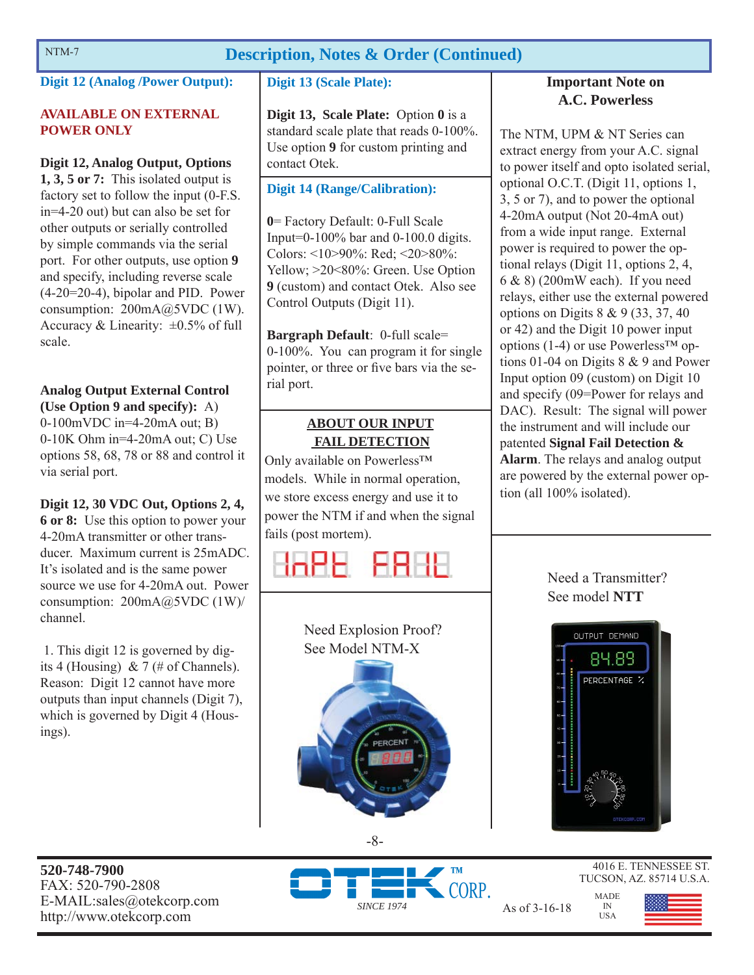# NTM-7 **Description, Notes & Order (Continued)**

# **Digit 12 (Analog /Power Output):**

### **AVAILABLE ON EXTERNAL POWER ONLY**

## **Digit 12, Analog Output, Options**

**1, 3, 5 or 7:** This isolated output is factory set to follow the input (0-F.S. in=4-20 out) but can also be set for other outputs or serially controlled by simple commands via the serial port. For other outputs, use option **9** and specify, including reverse scale (4-20=20-4), bipolar and PID. Power consumption: 200mA@5VDC (1W). Accuracy & Linearity:  $\pm 0.5\%$  of full scale.

# **Analog Output External Control**

**(Use Option 9 and specify):** A) 0-100mVDC in=4-20mA out; B) 0-10K Ohm in=4-20mA out; C) Use options 58, 68, 78 or 88 and control it via serial port.

**Digit 12, 30 VDC Out, Options 2, 4, 6 or 8:** Use this option to power your 4-20mA transmitter or other transducer. Maximum current is 25mADC. It's isolated and is the same power source we use for 4-20mA out. Power consumption: 200mA@5VDC (1W)/ channel.

 1. This digit 12 is governed by digits 4 (Housing) & 7 (# of Channels). Reason: Digit 12 cannot have more outputs than input channels (Digit 7), which is governed by Digit 4 (Housings).

# **Digit 13 (Scale Plate):**

**Digit 13, Scale Plate:** Option **0** is a standard scale plate that reads 0-100%. Use option **9** for custom printing and contact Otek.

# **Digit 14 (Range/Calibration):**

**0**= Factory Default: 0-Full Scale Input=0-100% bar and 0-100.0 digits. Colors: <10>90%: Red; <20>80%: Yellow;  $>20$ <80%: Green. Use Option **9** (custom) and contact Otek. Also see Control Outputs (Digit 11).

**Bargraph Default**: 0-full scale= 0-100%. You can program it for single pointer, or three or five bars via the serial port.

# **ABOUT OUR INPUT FAIL DETECTION**

Only available on Powerless™ models. While in normal operation, we store excess energy and use it to power the NTM if and when the signal fails (post mortem).





# **Important Note on A.C. Powerless**

The NTM, UPM & NT Series can extract energy from your A.C. signal to power itself and opto isolated serial, optional O.C.T. (Digit 11, options 1, 3, 5 or 7), and to power the optional 4-20mA output (Not 20-4mA out) from a wide input range. External power is required to power the optional relays (Digit 11, options 2, 4, 6 & 8) (200mW each). If you need relays, either use the external powered options on Digits 8 & 9 (33, 37, 40 or 42) and the Digit 10 power input options (1-4) or use Powerless™ options 01-04 on Digits 8 & 9 and Power Input option 09 (custom) on Digit 10 and specify (09=Power for relays and DAC). Result: The signal will power the instrument and will include our patented **Signal Fail Detection & Alarm**. The relays and analog output are powered by the external power option (all 100% isolated).

# Need a Transmitter? See model **NTT**



MADE IN USA

**520-748-7900** FAX: 520-790-2808 E-MAIL:sales@otekcorp.com





4016 E. TENNESSEE ST. TUCSON, AZ. 85714 U.S.A.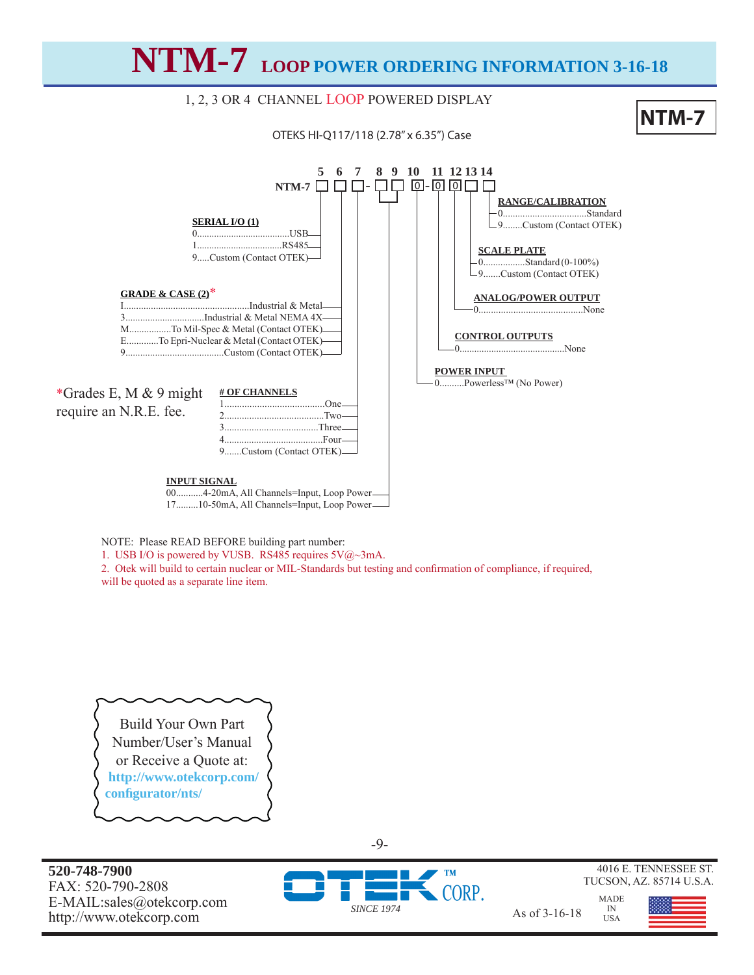**NTM-7 LOOP POWER ORDERING INFORMATION 3-16-18**

# 1, 2, 3 OR 4 CHANNEL LOOP POWERED DISPLAY

OTEKS HI-Q117/118 (2.78" x 6.35") Case





NOTE: Please READ BEFORE building part number:

1. USB I/O is powered by VUSB. RS485 requires  $5\sqrt{(a)} \sim 3 \text{mA}$ .

2. Otek will build to certain nuclear or MIL-Standards but testing and confirmation of compliance, if required, will be quoted as a separate line item.

Build Your Own Part Number/User's Manual or Receive a Quote at:  **http://www.otekcorp.com/ confi gurator/nts/**

**520-748-7900** FAX: 520-790-2808 E-MAIL:sales@otekcorp.com





4016 E. TENNESSEE ST. TUCSON, AZ. 85714 U.S.A.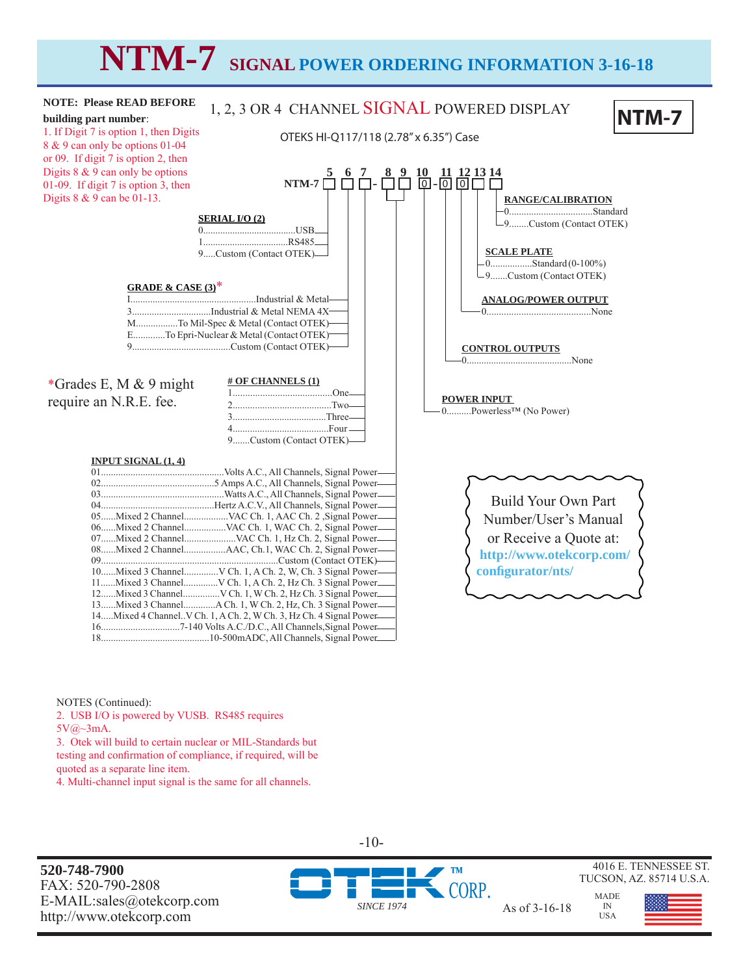# **NTM-7 SIGNAL POWER ORDERING INFORMATION 3-16-18**



NOTES (Continued):

2. USB I/O is powered by VUSB. RS485 requires 5V@~3mA. 3. Otek will build to certain nuclear or MIL-Standards but

testing and confirmation of compliance, if required, will be quoted as a separate line item.

4. Multi-channel input signal is the same for all channels.

**520-748-7900** FAX: 520-790-2808 E-MAIL:sales@otekcorp.com http://www.otekcorp.com and as of 3-16-18<br>http://www.otekcorp.com



-10-

*SINCE 1974*



ORP.



4016 E. TENNESSEE ST. TUCSON, AZ. 85714 U.S.A.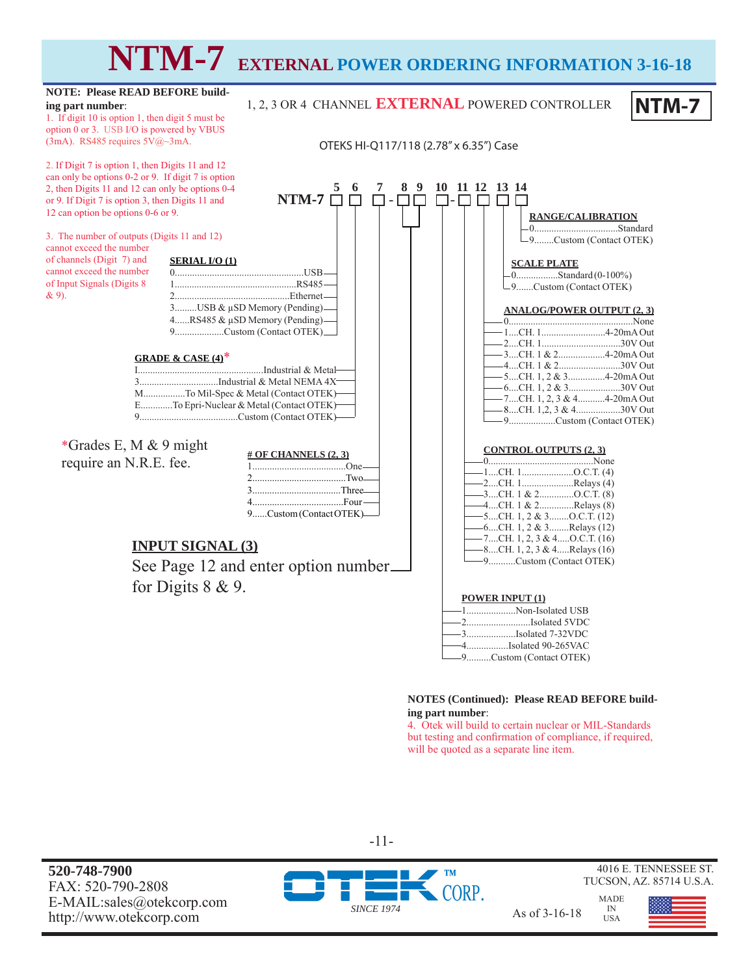# **NTM-7 EXTERNAL POWER ORDERING INFORMATION 3-16-18**

1, 2, 3 OR 4 CHANNEL **EXTERNAL** POWERED CONTROLLER

#### **NOTE: Please READ BEFORE building part number**:

1. If digit 10 is option 1, then digit 5 must be option 0 or 3. USB I/O is powered by VBUS (3mA). RS485 requires 5V@~3mA.

2. If Digit 7 is option 1, then Digits 11 and 12 can only be options 0-2 or 9. If digit 7 is option 2, then Digits 11 and 12 can only be options 0-4 or 9. If Digit 7 is option 3, then Digits 11 and 12 can option be options 0-6 or 9.

3. The number of outputs (Digits 11 and 12) cannot exceed the number

of channels (Digit 7) and cannot exceed the number of Input Signals (Digits 8 & 9).



\*Grades E, M & 9 might require an N.R.E. fee.

| # OF CHANNELS $(2, 3)$  |  |
|-------------------------|--|
|                         |  |
|                         |  |
|                         |  |
| $4$ Four $\qquad$       |  |
| 9Custom (Contact OTEK)— |  |

# **INPUT SIGNAL (3)**

See Page 12 and enter option number for Digits 8 & 9.

|                                                           | OTEKS HI-Q117/118 (2.78" x 6.35") Case                                                                                                                                                                                                                          |
|-----------------------------------------------------------|-----------------------------------------------------------------------------------------------------------------------------------------------------------------------------------------------------------------------------------------------------------------|
| 5<br>8<br>$\boldsymbol{6}$<br>$\overline{7}$              | 10 11 12 13 14<br>9<br>RANGE/CALIBRATION<br>-9Custom (Contact OTEK)                                                                                                                                                                                             |
| Β.<br>$5-$<br>$et-$                                       | <b>SCALE PLATE</b><br>-9Custom (Contact OTEK)                                                                                                                                                                                                                   |
| $=$ $($<br>).<br>$\Omega$<br>∕letal–                      | <b>ANALOG/POWER OUTPUT (2, 3)</b><br>-3CH. 1 & 24-20mA Out<br>— 4CH. 1 & 230V Out                                                                                                                                                                               |
| $44X^-$<br>EK)-<br>EK)-<br>EK)-                           | — 5CH. 1, 2 & 34-20mA Out<br>— 6CH. 1, 2 & 330V Out<br>— 7CH. 1, 2, 3 & 44-20mA Out<br>— 8CH. 1,2, 3 & 430V Out<br>-9Custom (Contact OTEK)                                                                                                                      |
| S(2, 3)<br>One-<br>Two-<br>Three-<br>Four—<br>tact OTEK)- | <b>CONTROL OUTPUTS (2, 3)</b><br>-1CH. 1O.C.T. (4)<br>-2CH. 1Relays (4)<br>$-3$ CH. 1 & 2O.C.T. (8)<br>-4CH. 1 & 2Relays (8)<br>$-5$ CH. 1, 2 & 3O.C.T. (12)<br>—6CH. 1, 2 & 3Relays (12)<br>$-7$ CH. 1, 2, 3 & 4O.C.T. (16)<br>$-8$ CH. 1, 2, 3 & 4Relays (16) |

| <b>POWER INPUT (1)</b>                    |
|-------------------------------------------|
| -------------------------Non-Isolated USB |
| -2Isolated 5VDC                           |
|                                           |
|                                           |
| ---------------Custom (Contact OTEK)      |

#### **NOTES (Continued): Please READ BEFORE building part number**:

4. Otek will build to certain nuclear or MIL-Standards but testing and confirmation of compliance, if required, will be quoted as a separate line item.

**520-748-7900** FAX: 520-790-2808 E-MAIL:sales@otekcorp.com http://www.otek.corp.com As of 3-16-18



MADE



4016 E. TENNESSEE ST. TUCSON, AZ. 85714 U.S.A.

**NTM-7**

IN USA

9...........Custom (Contact OTEK)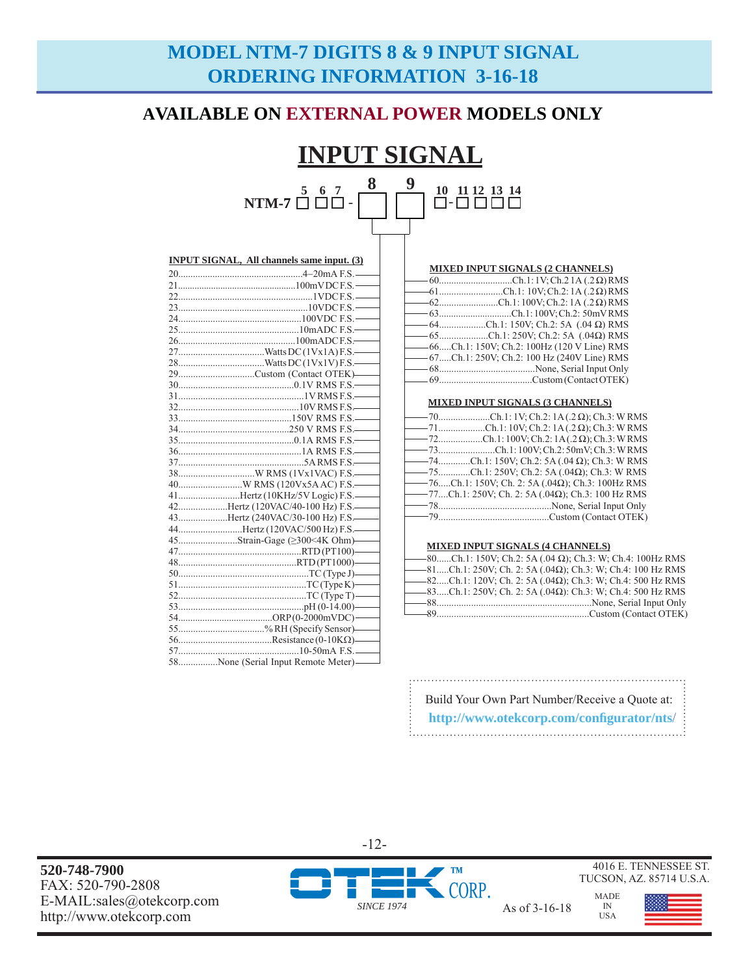# **MODEL NTM-7 DIGITS 8 & 9 INPUT SIGNAL ORDERING INFORMATION 3-16-18**

# **AVAILABLE ON EXTERNAL POWER MODELS ONLY**

#### **INPUT SIGNAL 5 6 7 8 9**  - **10 11 12 13 14**

| $NTM-7 \square \square \square$ |  |  | <br>11 12 13 14<br><u>I-LILILILI</u> |
|---------------------------------|--|--|--------------------------------------|
|                                 |  |  |                                      |

| <b>INPUT SIGNAL, All channels same input. (3)</b> |  |  |
|---------------------------------------------------|--|--|
|                                                   |  |  |
|                                                   |  |  |
|                                                   |  |  |
|                                                   |  |  |
|                                                   |  |  |
|                                                   |  |  |
|                                                   |  |  |
|                                                   |  |  |
|                                                   |  |  |
| 29Custom (Contact OTEK)——                         |  |  |
|                                                   |  |  |
|                                                   |  |  |
|                                                   |  |  |
|                                                   |  |  |
|                                                   |  |  |
|                                                   |  |  |
|                                                   |  |  |
|                                                   |  |  |
|                                                   |  |  |
|                                                   |  |  |
| 41Hertz (10KHz/5V Logic) F.S.-                    |  |  |
| 42Hertz (120VAC/40-100 Hz) F.S.                   |  |  |
| 43Hertz (240VAC/30-100 Hz) F.S.                   |  |  |
| 44Hertz (120VAC/500 Hz) F.S.                      |  |  |
| 45Strain-Gage (≥300<4K Ohm)——                     |  |  |
|                                                   |  |  |
|                                                   |  |  |
|                                                   |  |  |
|                                                   |  |  |
|                                                   |  |  |
|                                                   |  |  |
|                                                   |  |  |
| 55% RH (Specify Sensor)——                         |  |  |
|                                                   |  |  |
|                                                   |  |  |
| 58None (Serial Input Remote Meter)—               |  |  |

|  | MIXED INPUT SIGNALS (2 CHANNELS) |
|--|----------------------------------|
|  |                                  |

| $-60$ Ch.1:1V; Ch.21A (.2.Q) RMS               |
|------------------------------------------------|
| $-61$ Ch.1: 10V; Ch.2: 1A (.2 Ω) RMS           |
| $-62$ Ch.1:100V; Ch.2:1A (.2.Q) RMS            |
| - 63Ch.1: 100V; Ch.2: 50mV RMS                 |
| $-64$ Ch.1: 150V; Ch.2: 5A (.04 $\Omega$ ) RMS |
| $-65$ Ch.1: 250V; Ch.2: 5A (.04 $\Omega$ ) RMS |
| -66Ch.1: 150V; Ch.2: 100Hz (120 V Line) RMS    |
| -67Ch.1: 250V; Ch.2: 100 Hz (240V Line) RMS    |
|                                                |
|                                                |
|                                                |

#### **MIXED INPUT SIGNALS (3 CHANNELS)**

| $-$ 70Ch.1:1V; Ch.2: 1A(.2 Ω); Ch.3: WRMS                     |
|---------------------------------------------------------------|
| $-$ 71Ch.1:10V; Ch.2:1A(.2 Ω); Ch.3: WRMS                     |
| $-$ 72Ch.1:100V; Ch.2:1A(.2 $\Omega$ ); Ch.3: WRMS            |
|                                                               |
| ——74Ch.1: 150V; Ch.2: 5A (.04 Ω); Ch.3: W RMS                 |
| $-$ 75Ch.1: 250V; Ch.2: 5A (.04 $\Omega$ ); Ch.3: W RMS       |
| $-$ 76Ch.1: 150V; Ch. 2: 5A (.04 $\Omega$ ); Ch.3: 100Hz RMS  |
| $-$ 77Ch.1: 250V; Ch. 2: 5A (.04 $\Omega$ ); Ch.3: 100 Hz RMS |
|                                                               |
|                                                               |
|                                                               |

#### **MIXED INPUT SIGNALS (4 CHANNELS)**

|  | $-$ 80Ch.1: 150V; Ch.2: 5A (.04 $\Omega$ ); Ch.3: W; Ch.4: 100Hz RMS   |
|--|------------------------------------------------------------------------|
|  | $-81$ Ch.1: 250V; Ch. 2: 5A (.04 $\Omega$ ); Ch.3: W; Ch.4: 100 Hz RMS |
|  | $-82$ Ch.1: 120V; Ch. 2: 5A (.04 $\Omega$ ); Ch.3: W; Ch.4: 500 Hz RMS |
|  | $-83$ Ch.1: 250V; Ch. 2: 5A (.04Ω): Ch.3: W; Ch.4: 500 Hz RMS          |
|  |                                                                        |
|  |                                                                        |

| Build Your Own Part Number/Receive a Quote at: |
|------------------------------------------------|
| http://www.otekcorp.com/configurator/nts/      |

-12-

4016 E. TENNESSEE ST. TUCSON, AZ. 85714 U.S.A.

> MADE IN USA

**520-748-7900** FAX: 520-790-2808 E-MAIL:sales@otekcorp.com E-MAIL.saies@otekcorp.com <br>http://www.otekcorp.com As of 3-16-18